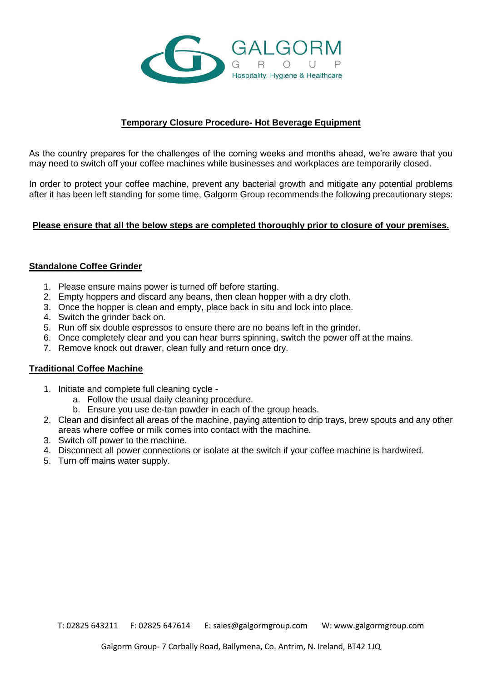

## **Temporary Closure Procedure- Hot Beverage Equipment**

As the country prepares for the challenges of the coming weeks and months ahead, we're aware that you may need to switch off your coffee machines while businesses and workplaces are temporarily closed.

In order to protect your coffee machine, prevent any bacterial growth and mitigate any potential problems after it has been left standing for some time, Galgorm Group recommends the following precautionary steps:

#### **Please ensure that all the below steps are completed thoroughly prior to closure of your premises.**

#### **Standalone Coffee Grinder**

- 1. Please ensure mains power is turned off before starting.
- 2. Empty hoppers and discard any beans, then clean hopper with a dry cloth.
- 3. Once the hopper is clean and empty, place back in situ and lock into place.
- 4. Switch the grinder back on.
- 5. Run off six double espressos to ensure there are no beans left in the grinder.
- 6. Once completely clear and you can hear burrs spinning, switch the power off at the mains.
- 7. Remove knock out drawer, clean fully and return once dry.

### **Traditional Coffee Machine**

- 1. Initiate and complete full cleaning cycle
	- a. Follow the usual daily cleaning procedure.
	- b. Ensure you use de-tan powder in each of the group heads.
- 2. Clean and disinfect all areas of the machine, paying attention to drip trays, brew spouts and any other areas where coffee or milk comes into contact with the machine.
- 3. Switch off power to the machine.
- 4. Disconnect all power connections or isolate at the switch if your coffee machine is hardwired.
- 5. Turn off mains water supply.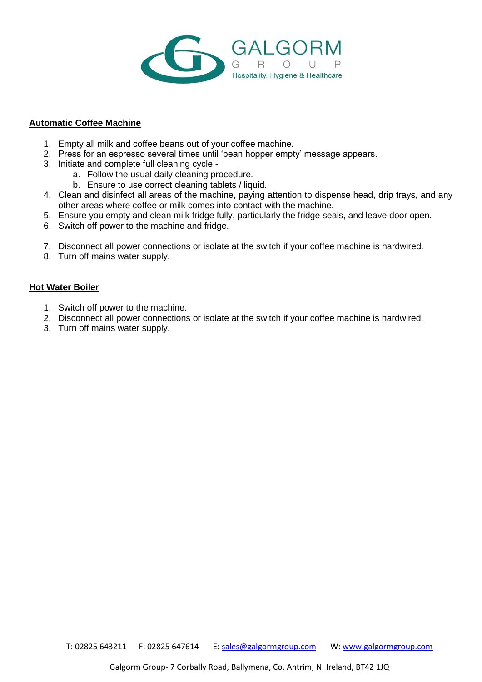

#### **Automatic Coffee Machine**

- 1. Empty all milk and coffee beans out of your coffee machine.
- 2. Press for an espresso several times until 'bean hopper empty' message appears.
- 3. Initiate and complete full cleaning cycle
	- a. Follow the usual daily cleaning procedure.
	- b. Ensure to use correct cleaning tablets / liquid.
- 4. Clean and disinfect all areas of the machine, paying attention to dispense head, drip trays, and any other areas where coffee or milk comes into contact with the machine.
- 5. Ensure you empty and clean milk fridge fully, particularly the fridge seals, and leave door open.
- 6. Switch off power to the machine and fridge.
- 7. Disconnect all power connections or isolate at the switch if your coffee machine is hardwired.
- 8. Turn off mains water supply.

## **Hot Water Boiler**

- 1. Switch off power to the machine.
- 2. Disconnect all power connections or isolate at the switch if your coffee machine is hardwired.
- 3. Turn off mains water supply.